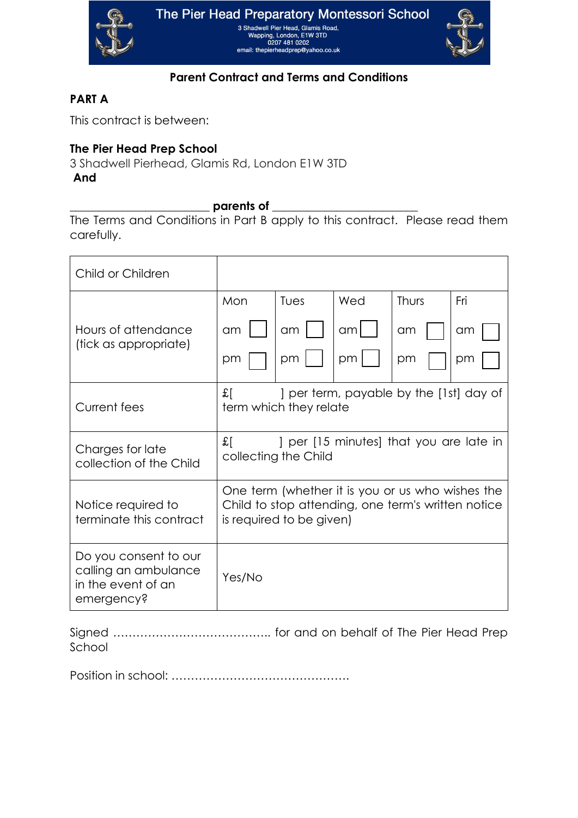

Wapping, London, E1W 3TD<br>Wapping, London, E1W 3TD<br>0207 481 0202<br>email: thepierheadprep@yahoo.co.uk



# **Parent Contract and Terms and Conditions**

# **PART A**

This contract is between:

# **The Pier Head Prep School**

3 Shadwell Pierhead, Glamis Rd, London E1W 3TD  **And** 

**\_\_\_\_\_\_\_\_\_\_\_\_\_\_\_\_\_\_\_\_\_\_\_\_ parents of \_\_\_\_\_\_\_\_\_\_\_\_\_\_\_\_\_\_\_\_\_\_\_\_\_**

The Terms and Conditions in Part B apply to this contract. Please read them carefully.

| Child or Children                                                                 |                                                                                                                                    |      |     |              |     |
|-----------------------------------------------------------------------------------|------------------------------------------------------------------------------------------------------------------------------------|------|-----|--------------|-----|
|                                                                                   | Mon                                                                                                                                | Tues | Wed | <b>Thurs</b> | Fri |
| Hours of attendance<br>(tick as appropriate)                                      | am                                                                                                                                 | am   | am  | am           | am  |
|                                                                                   | pm                                                                                                                                 | pm   | pm  | pm           | pm  |
| <b>Current fees</b>                                                               | £ſ<br>or term, payable by the [1st] day of<br>term which they relate                                                               |      |     |              |     |
| Charges for late<br>collection of the Child                                       | £ſ<br>per [15 minutes] that you are late in<br>collecting the Child                                                                |      |     |              |     |
| Notice required to<br>terminate this contract                                     | One term (whether it is you or us who wishes the<br>Child to stop attending, one term's written notice<br>is required to be given) |      |     |              |     |
| Do you consent to our<br>calling an ambulance<br>in the event of an<br>emergency? | Yes/No                                                                                                                             |      |     |              |     |

Signed ………………………………….. for and on behalf of The Pier Head Prep School

Position in school: ……………………………………….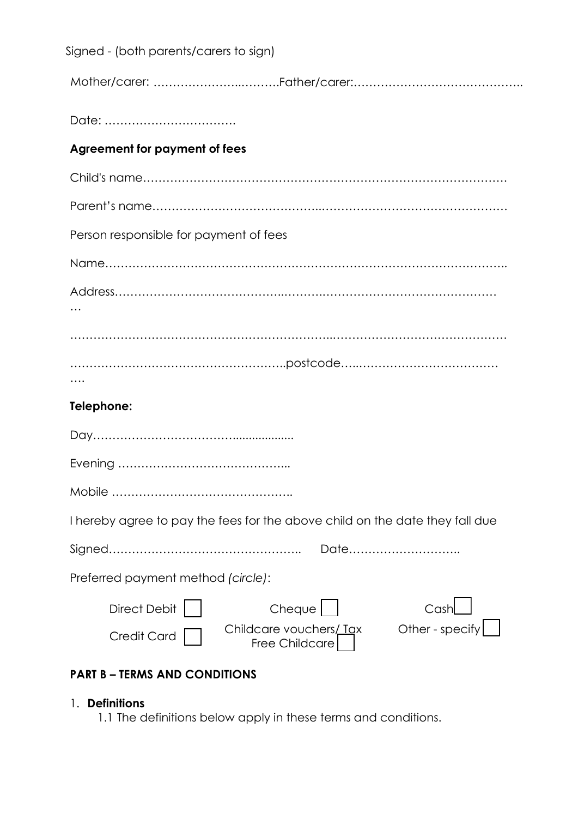| Signed - (both parents/carers to sign)                                                                                             |
|------------------------------------------------------------------------------------------------------------------------------------|
|                                                                                                                                    |
|                                                                                                                                    |
| <b>Agreement for payment of fees</b>                                                                                               |
|                                                                                                                                    |
|                                                                                                                                    |
| Person responsible for payment of fees                                                                                             |
|                                                                                                                                    |
|                                                                                                                                    |
|                                                                                                                                    |
|                                                                                                                                    |
| Telephone:                                                                                                                         |
|                                                                                                                                    |
|                                                                                                                                    |
|                                                                                                                                    |
| I hereby agree to pay the fees for the above child on the date they fall due                                                       |
| Date                                                                                                                               |
| Preferred payment method (circle):                                                                                                 |
| <b>Direct Debit</b><br>Cheque<br>Cash<br>Other - specify<br>Childcare vouchers/ Tax<br><b>Credit Card</b><br><b>Free Childcare</b> |

# **PART B – TERMS AND CONDITIONS**

- 1. **Definitions**
	- 1.1 The definitions below apply in these terms and conditions.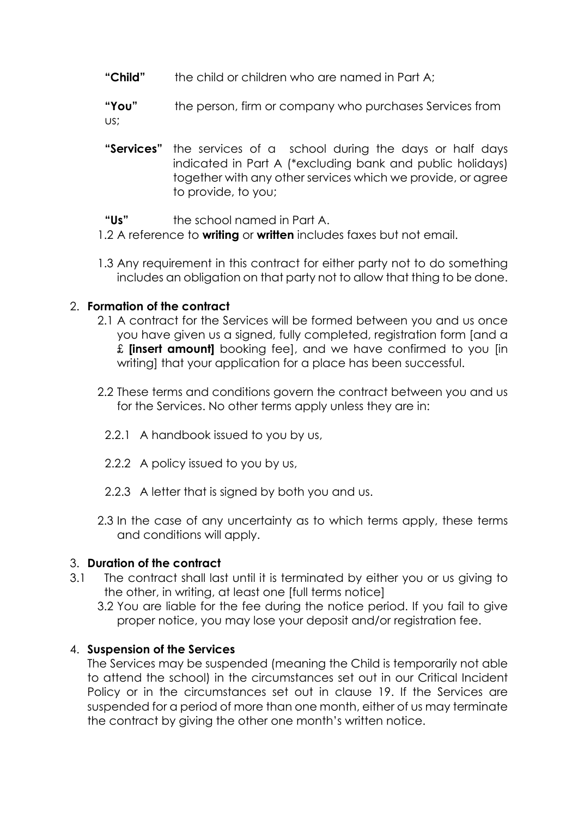- **"Child"** the child or children who are named in Part A;
- **"You"** the person, firm or company who purchases Services from us;
- **"Services"** the services of a school during the days or half days indicated in Part A (\*excluding bank and public holidays) together with any other services which we provide, or agree to provide, to you;
- **"Us"** the school named in Part A.
- 1.2 A reference to **writing** or **written** includes faxes but not email.
- 1.3 Any requirement in this contract for either party not to do something includes an obligation on that party not to allow that thing to be done.

# 2. **Formation of the contract**

- 2.1 A contract for the Services will be formed between you and us once you have given us a signed, fully completed, registration form [and a £ **[insert amount]** booking fee], and we have confirmed to you [in writing] that your application for a place has been successful.
- 2.2 These terms and conditions govern the contract between you and us for the Services. No other terms apply unless they are in:
	- 2.2.1 A handbook issued to you by us,
	- 2.2.2 A policy issued to you by us,
	- 2.2.3 A letter that is signed by both you and us.
- 2.3 In the case of any uncertainty as to which terms apply, these terms and conditions will apply.

# 3. **Duration of the contract**

- 3.1 The contract shall last until it is terminated by either you or us giving to the other, in writing, at least one [full terms notice]
	- 3.2 You are liable for the fee during the notice period. If you fail to give proper notice, you may lose your deposit and/or registration fee.

# 4. **Suspension of the Services**

The Services may be suspended (meaning the Child is temporarily not able to attend the school) in the circumstances set out in our Critical Incident Policy or in the circumstances set out in clause 19. If the Services are suspended for a period of more than one month, either of us may terminate the contract by giving the other one month's written notice.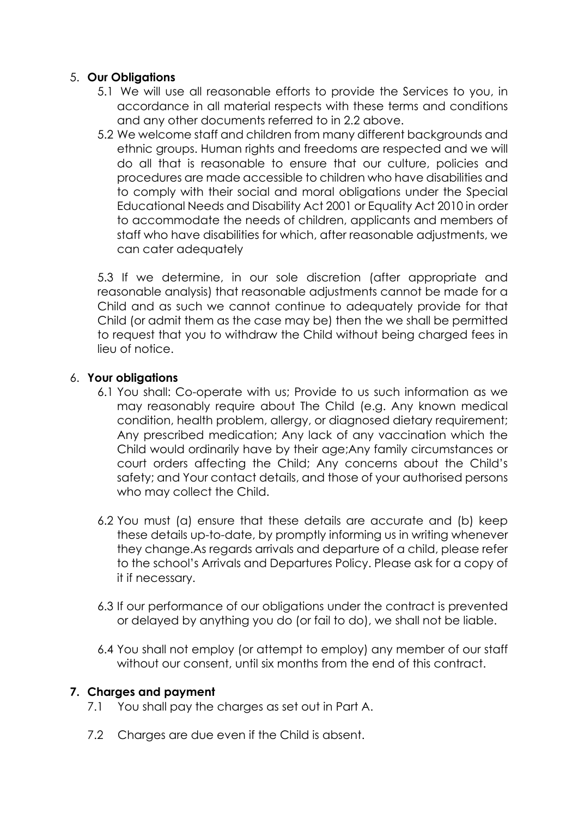# 5. **Our Obligations**

- 5.1 We will use all reasonable efforts to provide the Services to you, in accordance in all material respects with these terms and conditions and any other documents referred to in 2.2 above.
- 5.2 We welcome staff and children from many different backgrounds and ethnic groups. Human rights and freedoms are respected and we will do all that is reasonable to ensure that our culture, policies and procedures are made accessible to children who have disabilities and to comply with their social and moral obligations under the Special Educational Needs and Disability Act 2001 or Equality Act 2010 in order to accommodate the needs of children, applicants and members of staff who have disabilities for which, after reasonable adjustments, we can cater adequately

5.3 If we determine, in our sole discretion (after appropriate and reasonable analysis) that reasonable adjustments cannot be made for a Child and as such we cannot continue to adequately provide for that Child (or admit them as the case may be) then the we shall be permitted to request that you to withdraw the Child without being charged fees in lieu of notice.

# 6. **Your obligations**

- 6.1 You shall: Co-operate with us; Provide to us such information as we may reasonably require about The Child (e.g. Any known medical condition, health problem, allergy, or diagnosed dietary requirement; Any prescribed medication; Any lack of any vaccination which the Child would ordinarily have by their age;Any family circumstances or court orders affecting the Child; Any concerns about the Child's safety; and Your contact details, and those of your authorised persons who may collect the Child.
- 6.2 You must (a) ensure that these details are accurate and (b) keep these details up-to-date, by promptly informing us in writing whenever they change.As regards arrivals and departure of a child, please refer to the school's Arrivals and Departures Policy. Please ask for a copy of it if necessary.
- 6.3 If our performance of our obligations under the contract is prevented or delayed by anything you do (or fail to do), we shall not be liable.
- 6.4 You shall not employ (or attempt to employ) any member of our staff without our consent, until six months from the end of this contract.

# **7. Charges and payment**

- 7.1 You shall pay the charges as set out in Part A.
- 7.2 Charges are due even if the Child is absent.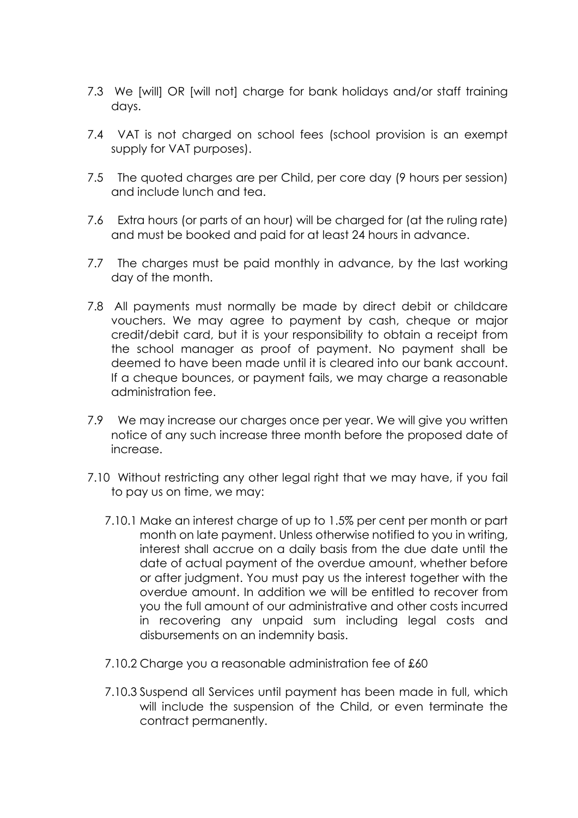- 7.3 We [will] OR [will not] charge for bank holidays and/or staff training days.
- 7.4 VAT is not charged on school fees (school provision is an exempt supply for VAT purposes).
- 7.5 The quoted charges are per Child, per core day (9 hours per session) and include lunch and tea.
- 7.6 Extra hours (or parts of an hour) will be charged for (at the ruling rate) and must be booked and paid for at least 24 hours in advance.
- 7.7 The charges must be paid monthly in advance, by the last working day of the month.
- 7.8 All payments must normally be made by direct debit or childcare vouchers. We may agree to payment by cash, cheque or major credit/debit card, but it is your responsibility to obtain a receipt from the school manager as proof of payment. No payment shall be deemed to have been made until it is cleared into our bank account. If a cheque bounces, or payment fails, we may charge a reasonable administration fee.
- 7.9 We may increase our charges once per year. We will give you written notice of any such increase three month before the proposed date of increase.
- 7.10 Without restricting any other legal right that we may have, if you fail to pay us on time, we may:
	- 7.10.1 Make an interest charge of up to 1.5% per cent per month or part month on late payment. Unless otherwise notified to you in writing, interest shall accrue on a daily basis from the due date until the date of actual payment of the overdue amount, whether before or after judgment. You must pay us the interest together with the overdue amount. In addition we will be entitled to recover from you the full amount of our administrative and other costs incurred in recovering any unpaid sum including legal costs and disbursements on an indemnity basis.
	- 7.10.2 Charge you a reasonable administration fee of £60
	- 7.10.3 Suspend all Services until payment has been made in full, which will include the suspension of the Child, or even terminate the contract permanently.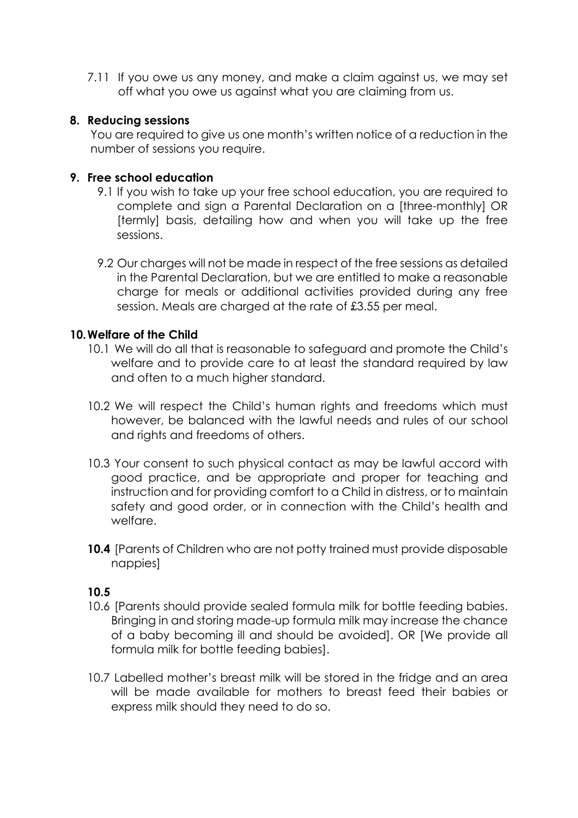7.11 If you owe us any money, and make a claim against us, we may set off what you owe us against what you are claiming from us.

### **8. Reducing sessions**

You are required to give us one month's written notice of a reduction in the number of sessions you require.

### **9. Free school education**

- 9.1 If you wish to take up your free school education, you are required to complete and sign a Parental Declaration on a [three-monthly] OR [termly] basis, detailing how and when you will take up the free sessions.
- 9.2 Our charges will not be made in respect of the free sessions as detailed in the Parental Declaration, but we are entitled to make a reasonable charge for meals or additional activities provided during any free session. Meals are charged at the rate of £3.55 per meal.

### **10.Welfare of the Child**

- 10.1 We will do all that is reasonable to safeguard and promote the Child's welfare and to provide care to at least the standard required by law and often to a much higher standard.
- 10.2 We will respect the Child's human rights and freedoms which must however, be balanced with the lawful needs and rules of our school and rights and freedoms of others.
- 10.3 Your consent to such physical contact as may be lawful accord with good practice, and be appropriate and proper for teaching and instruction and for providing comfort to a Child in distress, or to maintain safety and good order, or in connection with the Child's health and welfare.
- **10.4** [Parents of Children who are not potty trained must provide disposable nappies]

#### **10.5**

- 10.6 [Parents should provide sealed formula milk for bottle feeding babies. Bringing in and storing made-up formula milk may increase the chance of a baby becoming ill and should be avoided]. OR [We provide all formula milk for bottle feeding babies].
- 10.7 Labelled mother's breast milk will be stored in the fridge and an area will be made available for mothers to breast feed their babies or express milk should they need to do so.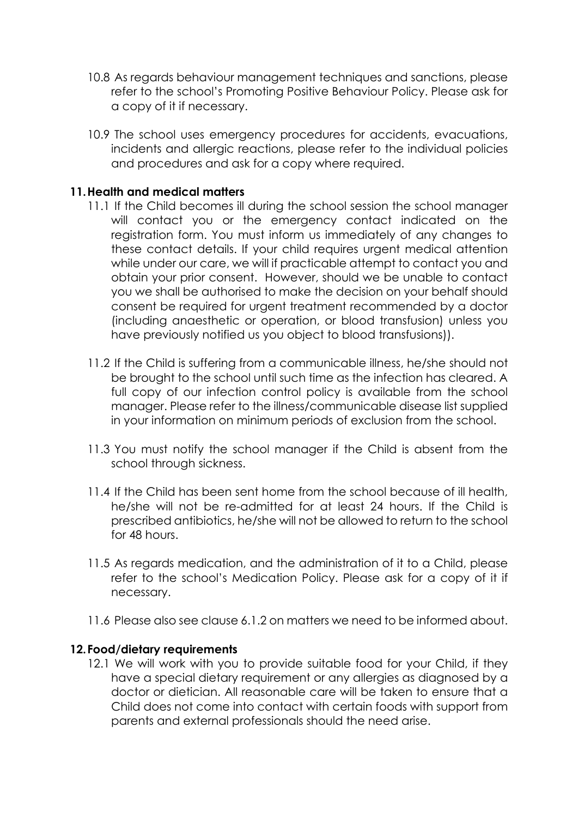- 10.8 As regards behaviour management techniques and sanctions, please refer to the school's Promoting Positive Behaviour Policy. Please ask for a copy of it if necessary.
- 10.9 The school uses emergency procedures for accidents, evacuations, incidents and allergic reactions, please refer to the individual policies and procedures and ask for a copy where required.

### **11.Health and medical matters**

- 11.1 If the Child becomes ill during the school session the school manager will contact you or the emergency contact indicated on the registration form. You must inform us immediately of any changes to these contact details. If your child requires urgent medical attention while under our care, we will if practicable attempt to contact you and obtain your prior consent. However, should we be unable to contact you we shall be authorised to make the decision on your behalf should consent be required for urgent treatment recommended by a doctor (including anaesthetic or operation, or blood transfusion) unless you have previously notified us you object to blood transfusions)).
- 11.2 If the Child is suffering from a communicable illness, he/she should not be brought to the school until such time as the infection has cleared. A full copy of our infection control policy is available from the school manager. Please refer to the illness/communicable disease list supplied in your information on minimum periods of exclusion from the school.
- 11.3 You must notify the school manager if the Child is absent from the school through sickness.
- 11.4 If the Child has been sent home from the school because of ill health, he/she will not be re-admitted for at least 24 hours. If the Child is prescribed antibiotics, he/she will not be allowed to return to the school for 48 hours.
- 11.5 As regards medication, and the administration of it to a Child, please refer to the school's Medication Policy. Please ask for a copy of it if necessary.
- 11.6 Please also see clause 6.1.2 on matters we need to be informed about.

#### **12.Food/dietary requirements**

12.1 We will work with you to provide suitable food for your Child, if they have a special dietary requirement or any allergies as diagnosed by a doctor or dietician. All reasonable care will be taken to ensure that a Child does not come into contact with certain foods with support from parents and external professionals should the need arise.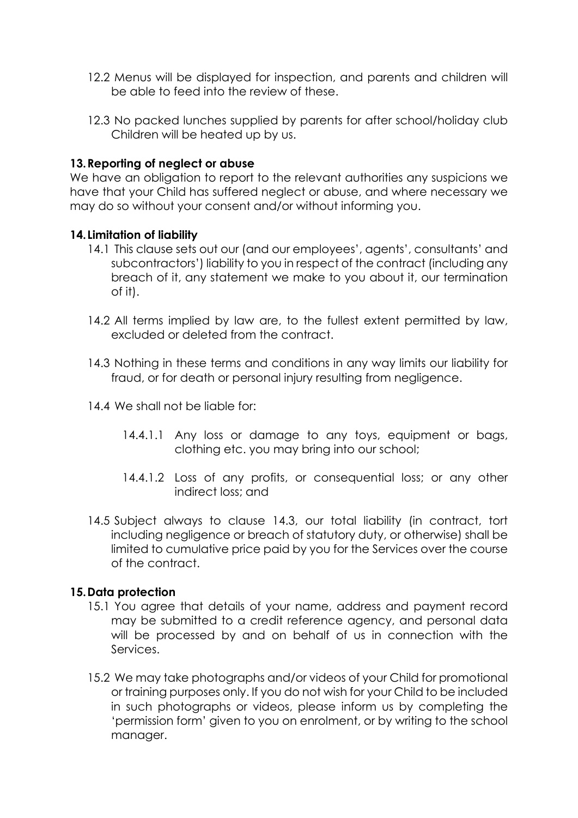- 12.2 Menus will be displayed for inspection, and parents and children will be able to feed into the review of these.
- 12.3 No packed lunches supplied by parents for after school/holiday club Children will be heated up by us.

### **13.Reporting of neglect or abuse**

We have an obligation to report to the relevant authorities any suspicions we have that your Child has suffered neglect or abuse, and where necessary we may do so without your consent and/or without informing you.

#### **14.Limitation of liability**

- 14.1 This clause sets out our (and our employees', agents', consultants' and subcontractors') liability to you in respect of the contract (including any breach of it, any statement we make to you about it, our termination of it).
- 14.2 All terms implied by law are, to the fullest extent permitted by law, excluded or deleted from the contract.
- 14.3 Nothing in these terms and conditions in any way limits our liability for fraud, or for death or personal injury resulting from negligence.
- 14.4 We shall not be liable for:
	- 14.4.1.1 Any loss or damage to any toys, equipment or bags, clothing etc. you may bring into our school;
	- 14.4.1.2 Loss of any profits, or consequential loss; or any other indirect loss; and
- 14.5 Subject always to clause 14.3, our total liability (in contract, tort including negligence or breach of statutory duty, or otherwise) shall be limited to cumulative price paid by you for the Services over the course of the contract.

#### **15.Data protection**

- 15.1 You agree that details of your name, address and payment record may be submitted to a credit reference agency, and personal data will be processed by and on behalf of us in connection with the Services.
- 15.2 We may take photographs and/or videos of your Child for promotional or training purposes only. If you do not wish for your Child to be included in such photographs or videos, please inform us by completing the 'permission form' given to you on enrolment, or by writing to the school manager.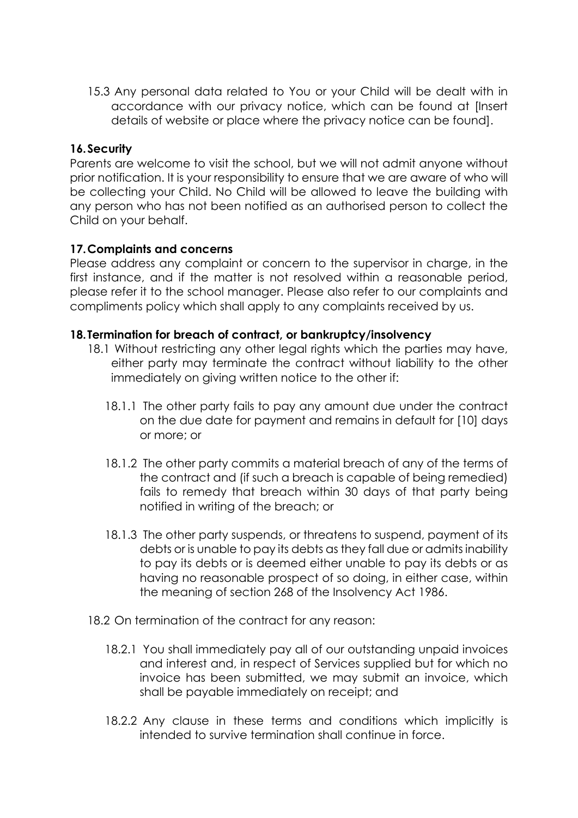15.3 Any personal data related to You or your Child will be dealt with in accordance with our privacy notice, which can be found at [Insert details of website or place where the privacy notice can be found].

# **16.Security**

Parents are welcome to visit the school, but we will not admit anyone without prior notification. It is your responsibility to ensure that we are aware of who will be collecting your Child. No Child will be allowed to leave the building with any person who has not been notified as an authorised person to collect the Child on your behalf.

# **17.Complaints and concerns**

Please address any complaint or concern to the supervisor in charge, in the first instance, and if the matter is not resolved within a reasonable period, please refer it to the school manager. Please also refer to our complaints and compliments policy which shall apply to any complaints received by us.

### **18.Termination for breach of contract, or bankruptcy/insolvency**

- 18.1 Without restricting any other legal rights which the parties may have, either party may terminate the contract without liability to the other immediately on giving written notice to the other if:
	- 18.1.1 The other party fails to pay any amount due under the contract on the due date for payment and remains in default for [10] days or more; or
	- 18.1.2 The other party commits a material breach of any of the terms of the contract and (if such a breach is capable of being remedied) fails to remedy that breach within 30 days of that party being notified in writing of the breach; or
	- 18.1.3 The other party suspends, or threatens to suspend, payment of its debts or is unable to pay its debts as they fall due or admits inability to pay its debts or is deemed either unable to pay its debts or as having no reasonable prospect of so doing, in either case, within the meaning of section 268 of the Insolvency Act 1986.
- 18.2 On termination of the contract for any reason:
	- 18.2.1 You shall immediately pay all of our outstanding unpaid invoices and interest and, in respect of Services supplied but for which no invoice has been submitted, we may submit an invoice, which shall be payable immediately on receipt; and
	- 18.2.2 Any clause in these terms and conditions which implicitly is intended to survive termination shall continue in force.